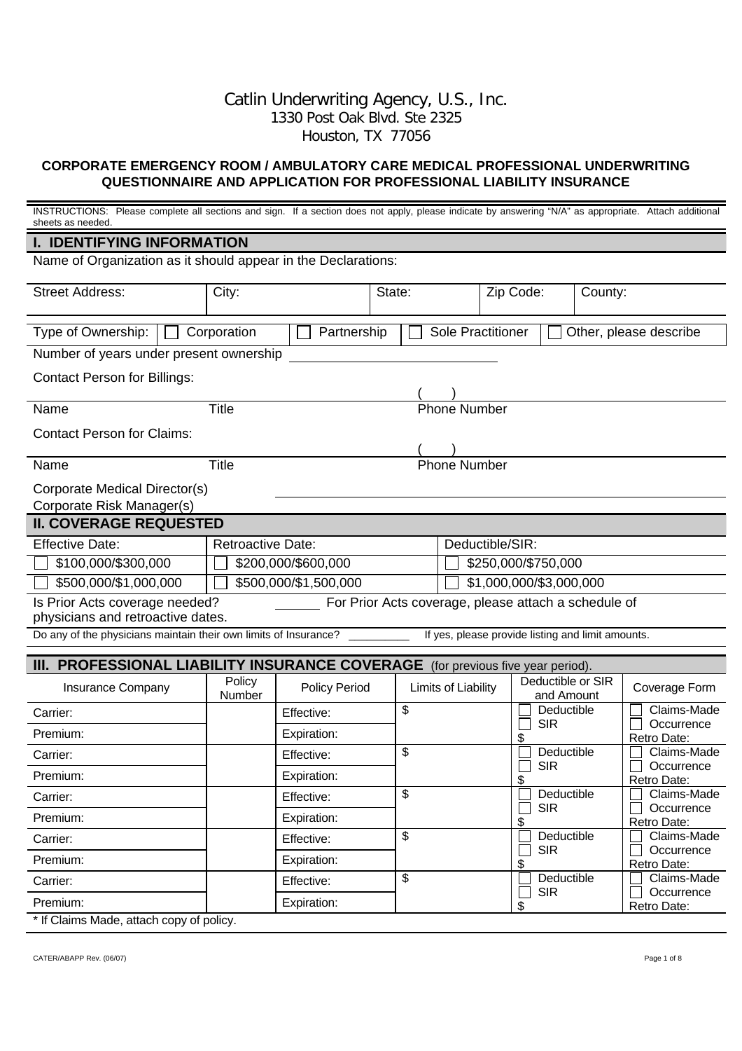## Catlin Underwriting Agency, U.S., Inc. 1330 Post Oak Blvd. Ste 2325 Houston, TX 77056

## **CORPORATE EMERGENCY ROOM / AMBULATORY CARE MEDICAL PROFESSIONAL UNDERWRITING QUESTIONNAIRE AND APPLICATION FOR PROFESSIONAL LIABILITY INSURANCE**

| <b>I. IDENTIFYING INFORMATION</b>                                                                                           |                           |  |  |  |
|-----------------------------------------------------------------------------------------------------------------------------|---------------------------|--|--|--|
| Name of Organization as it should appear in the Declarations:                                                               |                           |  |  |  |
| <b>Street Address:</b><br>Zip Code:<br>City:<br>State:<br>County:                                                           |                           |  |  |  |
| Type of Ownership:<br><b>Sole Practitioner</b><br>Corporation<br>Other, please describe<br>Partnership                      |                           |  |  |  |
| Number of years under present ownership                                                                                     |                           |  |  |  |
| <b>Contact Person for Billings:</b>                                                                                         |                           |  |  |  |
| <b>Title</b><br><b>Phone Number</b><br>Name                                                                                 |                           |  |  |  |
| <b>Contact Person for Claims:</b>                                                                                           |                           |  |  |  |
| <b>Phone Number</b><br>Title<br>Name                                                                                        |                           |  |  |  |
| Corporate Medical Director(s)<br>Corporate Risk Manager(s)                                                                  |                           |  |  |  |
| <b>II. COVERAGE REQUESTED</b>                                                                                               |                           |  |  |  |
| <b>Effective Date:</b><br>Deductible/SIR:<br><b>Retroactive Date:</b>                                                       |                           |  |  |  |
| \$250,000/\$750,000<br>\$100,000/\$300,000<br>\$200,000/\$600,000                                                           |                           |  |  |  |
| \$500,000/\$1,000,000<br>\$500,000/\$1,500,000<br>\$1,000,000/\$3,000,000                                                   |                           |  |  |  |
| For Prior Acts coverage, please attach a schedule of<br>Is Prior Acts coverage needed?<br>physicians and retroactive dates. |                           |  |  |  |
| Do any of the physicians maintain their own limits of Insurance?<br>If yes, please provide listing and limit amounts.       |                           |  |  |  |
| <b>III. PROFESSIONAL LIABILITY INSURANCE COVERAGE</b> (for previous five year period).                                      |                           |  |  |  |
| Deductible or SIR<br>Policy                                                                                                 |                           |  |  |  |
| <b>Policy Period</b><br>Limits of Liability<br>Insurance Company<br>Coverage Form<br>Number<br>and Amount                   |                           |  |  |  |
| \$<br>Deductible<br>Carrier:<br>Effective:<br><b>SIR</b>                                                                    | Claims-Made<br>Occurrence |  |  |  |
| Premium:<br>Expiration:<br>\$<br>Retro Date:                                                                                |                           |  |  |  |
| \$<br>Deductible<br>Effective:<br>Carrier:<br>$\Box$ Occurrence                                                             | Claims-Made               |  |  |  |
| <b>SIR</b><br>Premium:<br>Expiration:<br>\$<br>Retro Date:                                                                  |                           |  |  |  |
| \$<br>Deductible<br>Effective:<br>Carrier:                                                                                  | Claims-Made               |  |  |  |
| <b>SIR</b><br>Expiration:<br>Premium:<br>\$<br>Retro Date:                                                                  | Occurrence                |  |  |  |
| \$<br>Deductible<br>Effective:<br>Carrier:                                                                                  | Claims-Made               |  |  |  |
| <b>SIR</b><br>Expiration:<br>Premium:<br>\$<br>Retro Date:                                                                  | Occurrence                |  |  |  |
| \$<br>Deductible<br>Effective:<br>Carrier:                                                                                  | Claims-Made               |  |  |  |
| <b>SIR</b><br>Expiration:<br>Premium:<br>\$<br>Retro Date:<br>$*$ If Obstace Media attach-<br>- 11 -                        | Occurrence                |  |  |  |

If Claims Made, attach copy of policy.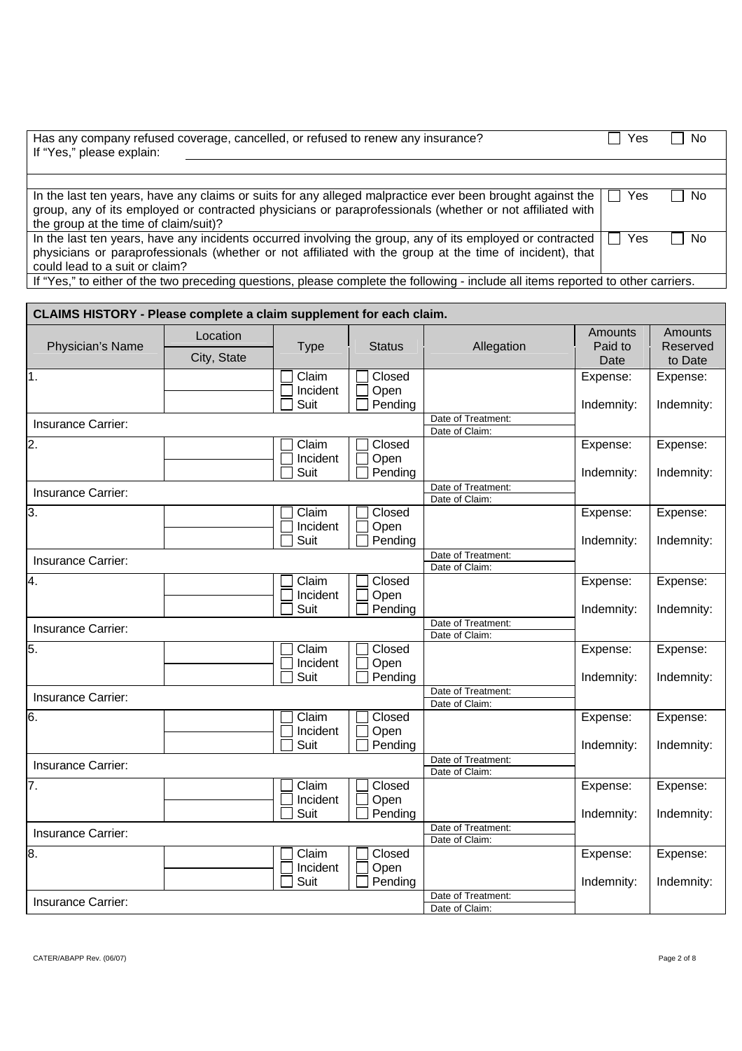| Has any company refused coverage, cancelled, or refused to renew any insurance?<br>If "Yes," please explain:                                                                                                                                                   | Yes | . No |
|----------------------------------------------------------------------------------------------------------------------------------------------------------------------------------------------------------------------------------------------------------------|-----|------|
|                                                                                                                                                                                                                                                                |     |      |
|                                                                                                                                                                                                                                                                |     |      |
| In the last ten years, have any claims or suits for any alleged malpractice ever been brought against the<br>group, any of its employed or contracted physicians or paraprofessionals (whether or not affiliated with<br>the group at the time of claim/suit)? | Yes | No.  |
| In the last ten years, have any incidents occurred involving the group, any of its employed or contracted<br>physicians or paraprofessionals (whether or not affiliated with the group at the time of incident), that<br>could lead to a suit or claim?        | Yes | No.  |
| If "Yes," to either of the two preceding questions, please complete the following - include all items reported to other carriers.                                                                                                                              |     |      |

| CLAIMS HISTORY - Please complete a claim supplement for each claim. |                         |                           |                           |                                      |                            |                                |
|---------------------------------------------------------------------|-------------------------|---------------------------|---------------------------|--------------------------------------|----------------------------|--------------------------------|
| Physician's Name                                                    | Location<br>City, State | <b>Type</b>               | <b>Status</b>             | Allegation                           | Amounts<br>Paid to<br>Date | Amounts<br>Reserved<br>to Date |
| 1.                                                                  |                         | Claim<br>Incident<br>Suit | Closed<br>Open<br>Pending |                                      | Expense:<br>Indemnity:     | Expense:<br>Indemnity:         |
| Insurance Carrier:                                                  |                         |                           |                           | Date of Treatment:<br>Date of Claim: |                            |                                |
| $\overline{2}$ .                                                    |                         | Claim<br>Incident<br>Suit | Closed<br>Open<br>Pending |                                      | Expense:<br>Indemnity:     | Expense:<br>Indemnity:         |
| Insurance Carrier:                                                  |                         |                           |                           | Date of Treatment:<br>Date of Claim: |                            |                                |
| 3.                                                                  |                         | Claim<br>Incident<br>Suit | Closed<br>Open<br>Pending |                                      | Expense:<br>Indemnity:     | Expense:<br>Indemnity:         |
| Insurance Carrier:                                                  |                         |                           |                           | Date of Treatment:<br>Date of Claim: |                            |                                |
| 4.                                                                  |                         | Claim<br>Incident<br>Suit | Closed<br>Open<br>Pending |                                      | Expense:<br>Indemnity:     | Expense:<br>Indemnity:         |
| Insurance Carrier:                                                  |                         |                           |                           | Date of Treatment:<br>Date of Claim: |                            |                                |
| 5.                                                                  |                         | Claim<br>Incident<br>Suit | Closed<br>Open<br>Pending |                                      | Expense:<br>Indemnity:     | Expense:<br>Indemnity:         |
| Insurance Carrier:                                                  |                         |                           |                           | Date of Treatment:<br>Date of Claim: |                            |                                |
| 6.                                                                  |                         | Claim<br>Incident<br>Suit | Closed<br>Open<br>Pending |                                      | Expense:<br>Indemnity:     | Expense:<br>Indemnity:         |
| Insurance Carrier:                                                  |                         |                           |                           | Date of Treatment:<br>Date of Claim: |                            |                                |
| 7.                                                                  |                         | Claim<br>Incident<br>Suit | Closed<br>Open<br>Pending |                                      | Expense:<br>Indemnity:     | Expense:<br>Indemnity:         |
| Insurance Carrier:                                                  |                         |                           |                           | Date of Treatment:<br>Date of Claim: |                            |                                |
| 8.                                                                  |                         | Claim<br>Incident<br>Suit | Closed<br>Open<br>Pending | Date of Treatment:                   | Expense:<br>Indemnity:     | Expense:<br>Indemnity:         |
| Insurance Carrier:                                                  |                         |                           |                           | Date of Claim:                       |                            |                                |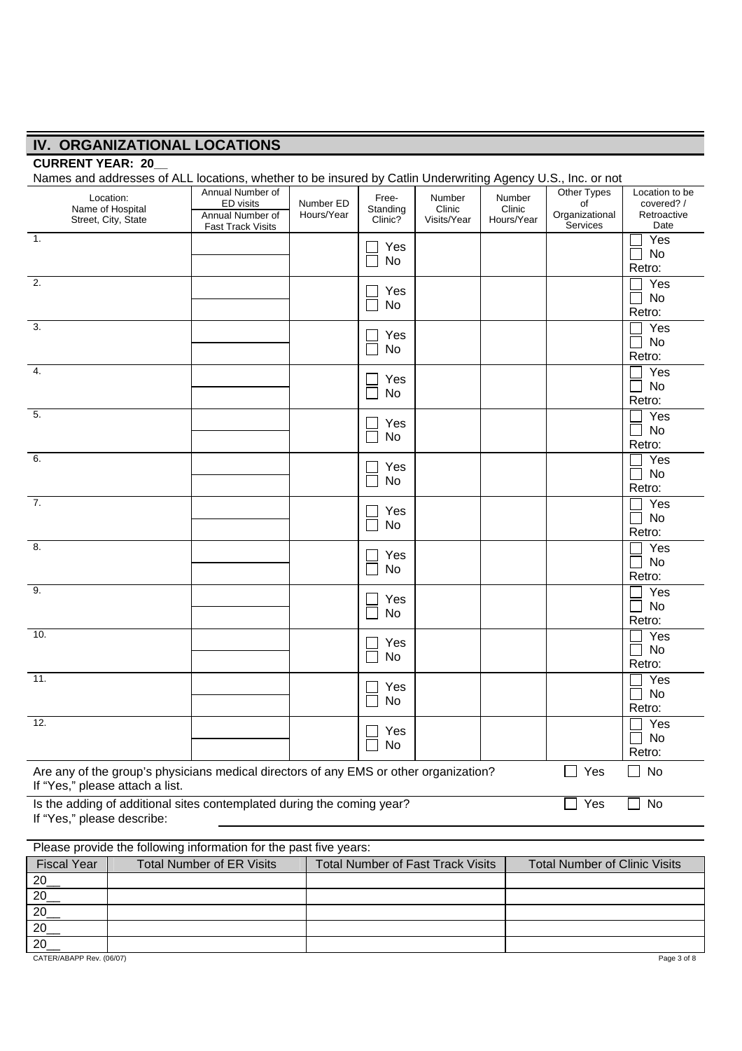# **IV. ORGANIZATIONAL LOCATIONS**

## **CURRENT YEAR: 20\_\_**

|                                 |                               | Names and addresses of ALL locations, whether to be insured by Catlin Underwriting Agency U.S., Inc. or not |                         |                              |                                          |                                |                                      |                                             |
|---------------------------------|-------------------------------|-------------------------------------------------------------------------------------------------------------|-------------------------|------------------------------|------------------------------------------|--------------------------------|--------------------------------------|---------------------------------------------|
|                                 | Location:<br>Name of Hospital | Annual Number of<br>ED visits<br>Annual Number of                                                           | Number ED<br>Hours/Year | Free-<br>Standing<br>Clinic? | Number<br>Clinic<br>Visits/Year          | Number<br>Clinic<br>Hours/Year | Other Types<br>of<br>Organizational  | Location to be<br>covered? /<br>Retroactive |
|                                 | Street, City, State           | <b>Fast Track Visits</b>                                                                                    |                         |                              |                                          |                                | Services                             | Date                                        |
| $\overline{1}$ .                |                               |                                                                                                             |                         | Yes                          |                                          |                                |                                      | Yes<br>No                                   |
|                                 |                               |                                                                                                             |                         | <b>No</b>                    |                                          |                                |                                      | Retro:                                      |
| 2.                              |                               |                                                                                                             |                         |                              |                                          |                                |                                      | Yes                                         |
|                                 |                               |                                                                                                             |                         | Yes                          |                                          |                                |                                      | No                                          |
|                                 |                               |                                                                                                             |                         | No                           |                                          |                                |                                      | Retro:                                      |
| $\overline{3}$ .                |                               |                                                                                                             |                         | Yes                          |                                          |                                |                                      | Yes                                         |
|                                 |                               |                                                                                                             |                         | No                           |                                          |                                |                                      | No                                          |
|                                 |                               |                                                                                                             |                         |                              |                                          |                                |                                      | Retro:                                      |
| 4.                              |                               |                                                                                                             |                         | Yes                          |                                          |                                |                                      | Yes                                         |
|                                 |                               |                                                                                                             |                         | No                           |                                          |                                |                                      | No<br>Retro:                                |
| 5.                              |                               |                                                                                                             |                         |                              |                                          |                                |                                      | Yes                                         |
|                                 |                               |                                                                                                             |                         | Yes                          |                                          |                                |                                      | No                                          |
|                                 |                               |                                                                                                             |                         | No                           |                                          |                                |                                      | Retro:                                      |
| 6.                              |                               |                                                                                                             |                         |                              |                                          |                                |                                      | Yes                                         |
|                                 |                               |                                                                                                             |                         | Yes<br>No                    |                                          |                                |                                      | No                                          |
|                                 |                               |                                                                                                             |                         |                              |                                          |                                |                                      | Retro:                                      |
| $\overline{7}$ .                |                               |                                                                                                             |                         | Yes                          |                                          |                                |                                      | Yes                                         |
|                                 |                               |                                                                                                             |                         | No                           |                                          |                                |                                      | No                                          |
| 8.                              |                               |                                                                                                             |                         |                              |                                          |                                |                                      | Retro:                                      |
|                                 |                               |                                                                                                             |                         | Yes                          |                                          |                                |                                      | Yes<br>No                                   |
|                                 |                               |                                                                                                             |                         | No                           |                                          |                                |                                      | Retro:                                      |
| 9.                              |                               |                                                                                                             |                         |                              |                                          |                                |                                      | Yes                                         |
|                                 |                               |                                                                                                             |                         | Yes                          |                                          |                                |                                      | No                                          |
|                                 |                               |                                                                                                             |                         | No                           |                                          |                                |                                      | Retro:                                      |
| 10.                             |                               |                                                                                                             |                         | Yes                          |                                          |                                |                                      | Yes                                         |
|                                 |                               |                                                                                                             |                         | No                           |                                          |                                |                                      | <b>No</b>                                   |
|                                 |                               |                                                                                                             |                         |                              |                                          |                                |                                      | Retro:                                      |
| 11.                             |                               |                                                                                                             |                         | Yes                          |                                          |                                |                                      | Yes                                         |
|                                 |                               |                                                                                                             |                         | No                           |                                          |                                |                                      | No                                          |
| 12.                             |                               |                                                                                                             |                         |                              |                                          |                                |                                      | Retro:                                      |
|                                 |                               |                                                                                                             |                         | $\hfill\Box$<br>Yes          |                                          |                                |                                      | Yes<br>No                                   |
|                                 |                               |                                                                                                             |                         | No                           |                                          |                                |                                      | Retro:                                      |
|                                 |                               |                                                                                                             |                         |                              |                                          |                                | $\Box$ Yes                           | No<br>$\blacksquare$                        |
| If "Yes," please attach a list. |                               | Are any of the group's physicians medical directors of any EMS or other organization?                       |                         |                              |                                          |                                |                                      |                                             |
|                                 |                               | Is the adding of additional sites contemplated during the coming year?                                      |                         |                              |                                          |                                | Yes                                  | No                                          |
| If "Yes," please describe:      |                               |                                                                                                             |                         |                              |                                          |                                |                                      |                                             |
|                                 |                               |                                                                                                             |                         |                              |                                          |                                |                                      |                                             |
|                                 |                               | Please provide the following information for the past five years:                                           |                         |                              |                                          |                                |                                      |                                             |
| <b>Fiscal Year</b>              |                               | <b>Total Number of ER Visits</b>                                                                            |                         |                              | <b>Total Number of Fast Track Visits</b> |                                | <b>Total Number of Clinic Visits</b> |                                             |
| 20                              |                               |                                                                                                             |                         |                              |                                          |                                |                                      |                                             |
| 20                              |                               |                                                                                                             |                         |                              |                                          |                                |                                      |                                             |
| 20                              |                               |                                                                                                             |                         |                              |                                          |                                |                                      |                                             |

20\_\_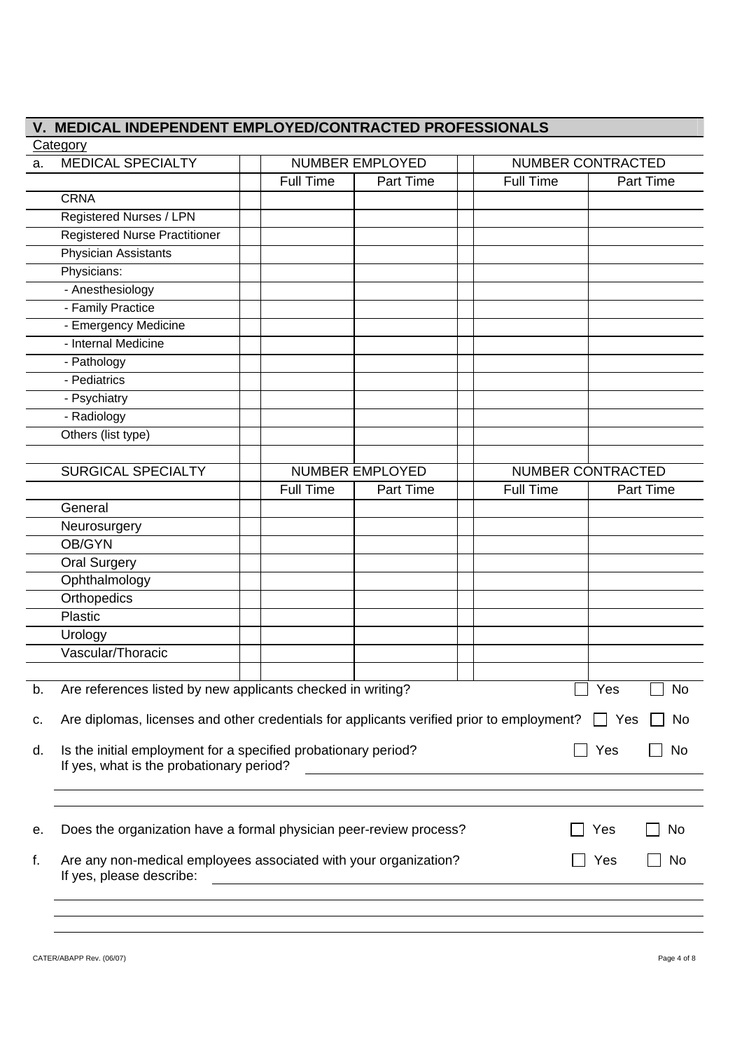|    | V. MEDICAL INDEPENDENT EMPLOYED/CONTRACTED PROFESSIONALS                                     |                                                              |                        |                  |                          |
|----|----------------------------------------------------------------------------------------------|--------------------------------------------------------------|------------------------|------------------|--------------------------|
|    | Category                                                                                     |                                                              |                        |                  |                          |
| a. | <b>MEDICAL SPECIALTY</b>                                                                     |                                                              | NUMBER EMPLOYED        |                  | <b>NUMBER CONTRACTED</b> |
|    |                                                                                              | <b>Full Time</b>                                             | Part Time              | <b>Full Time</b> | Part Time                |
|    | <b>CRNA</b>                                                                                  |                                                              |                        |                  |                          |
|    | Registered Nurses / LPN                                                                      |                                                              |                        |                  |                          |
|    | <b>Registered Nurse Practitioner</b>                                                         |                                                              |                        |                  |                          |
|    | <b>Physician Assistants</b>                                                                  |                                                              |                        |                  |                          |
|    | Physicians:                                                                                  |                                                              |                        |                  |                          |
|    | - Anesthesiology                                                                             |                                                              |                        |                  |                          |
|    | - Family Practice                                                                            |                                                              |                        |                  |                          |
|    | - Emergency Medicine                                                                         |                                                              |                        |                  |                          |
|    | - Internal Medicine                                                                          |                                                              |                        |                  |                          |
|    | - Pathology                                                                                  |                                                              |                        |                  |                          |
|    | - Pediatrics                                                                                 |                                                              |                        |                  |                          |
|    | - Psychiatry                                                                                 |                                                              |                        |                  |                          |
|    | - Radiology                                                                                  |                                                              |                        |                  |                          |
|    | Others (list type)                                                                           |                                                              |                        |                  |                          |
|    |                                                                                              |                                                              |                        |                  |                          |
|    | <b>SURGICAL SPECIALTY</b>                                                                    |                                                              | <b>NUMBER EMPLOYED</b> |                  | <b>NUMBER CONTRACTED</b> |
|    |                                                                                              | <b>Full Time</b>                                             | Part Time              | <b>Full Time</b> | <b>Part Time</b>         |
|    | General                                                                                      |                                                              |                        |                  |                          |
|    | Neurosurgery                                                                                 |                                                              |                        |                  |                          |
|    | OB/GYN                                                                                       |                                                              |                        |                  |                          |
|    | <b>Oral Surgery</b>                                                                          |                                                              |                        |                  |                          |
|    | Ophthalmology                                                                                |                                                              |                        |                  |                          |
|    | Orthopedics                                                                                  |                                                              |                        |                  |                          |
|    | Plastic                                                                                      |                                                              |                        |                  |                          |
|    | Urology                                                                                      |                                                              |                        |                  |                          |
|    | Vascular/Thoracic                                                                            |                                                              |                        |                  |                          |
|    |                                                                                              |                                                              |                        |                  |                          |
| b. | Are references listed by new applicants checked in writing?                                  |                                                              |                        |                  | No<br>Yes                |
|    |                                                                                              |                                                              |                        |                  |                          |
| c. | Are diplomas, licenses and other credentials for applicants verified prior to employment?    |                                                              |                        |                  | No<br>$\Box$ Yes         |
| d. | Is the initial employment for a specified probationary period?                               |                                                              |                        |                  | Yes<br>No                |
|    | If yes, what is the probationary period?                                                     |                                                              |                        |                  |                          |
|    |                                                                                              |                                                              |                        |                  |                          |
|    |                                                                                              |                                                              |                        |                  |                          |
|    |                                                                                              |                                                              |                        |                  |                          |
| е. | Does the organization have a formal physician peer-review process?                           |                                                              |                        |                  | No<br>Yes                |
|    |                                                                                              |                                                              |                        |                  |                          |
| f. | Are any non-medical employees associated with your organization?<br>If yes, please describe: |                                                              |                        |                  | Yes<br>No                |
|    |                                                                                              | <u> 1989 - Johann Barbara, martxa eta idazlea (h. 1989).</u> |                        |                  |                          |
|    |                                                                                              |                                                              |                        |                  |                          |
|    |                                                                                              |                                                              |                        |                  |                          |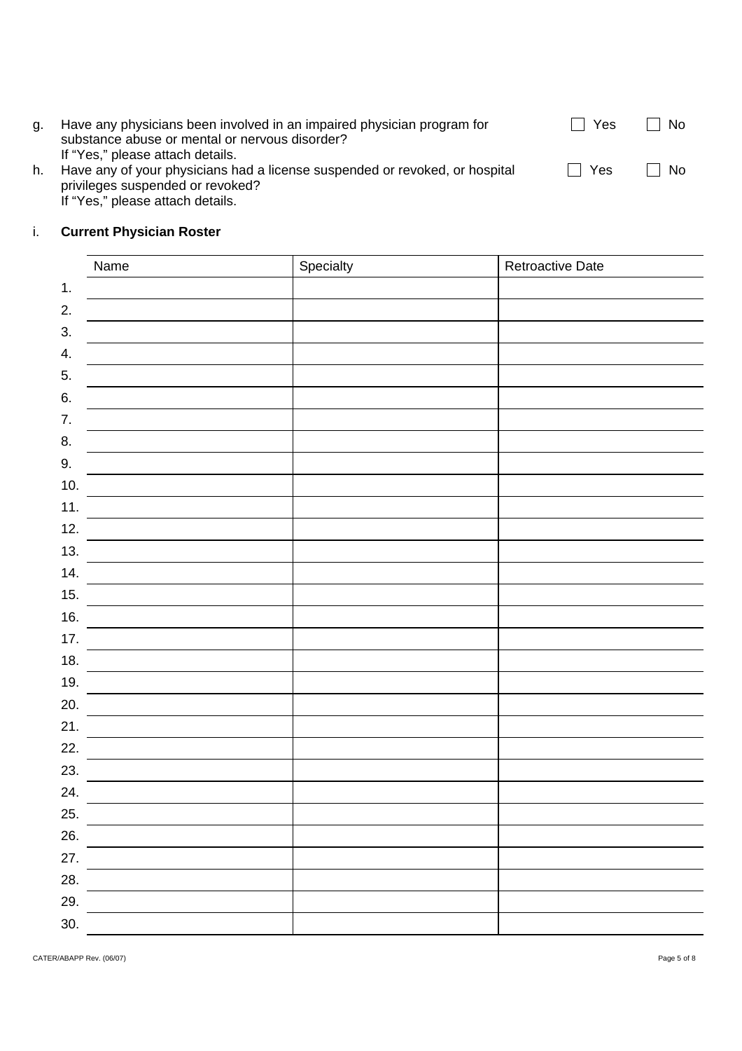| q. | Have any physicians been involved in an impaired physician program for<br>substance abuse or mental or nervous disorder?                                                                | . Yes   | $\Box$ No |
|----|-----------------------------------------------------------------------------------------------------------------------------------------------------------------------------------------|---------|-----------|
| h. | If "Yes," please attach details.<br>Have any of your physicians had a license suspended or revoked, or hospital<br>privileges suspended or revoked?<br>If "Yes," please attach details. | l I Yes | ∣ No      |

#### $\mathbf{i}$ . i. **Current Physician Roster**

| Name    | Specialty | Retroactive Date |
|---------|-----------|------------------|
| 1.      |           |                  |
| 2.      |           |                  |
| 3.      |           |                  |
| 4.      |           |                  |
| 5.      |           |                  |
| 6.      |           |                  |
| 7.      |           |                  |
| 8.      |           |                  |
| $9. \,$ |           |                  |
| 10.     |           |                  |
| 11.     |           |                  |
| 12.     |           |                  |
| 13.     |           |                  |
| 14.     |           |                  |
| 15.     |           |                  |
| 16.     |           |                  |
| 17.     |           |                  |
| 18.     |           |                  |
| 19.     |           |                  |
| 20.     |           |                  |
| 21.     |           |                  |
| 22.     |           |                  |
| 23.     |           |                  |
| 24.     |           |                  |
| 25.     |           |                  |
| 26.     |           |                  |
| 27.     |           |                  |
| 28.     |           |                  |
| 29.     |           |                  |
| 30.     |           |                  |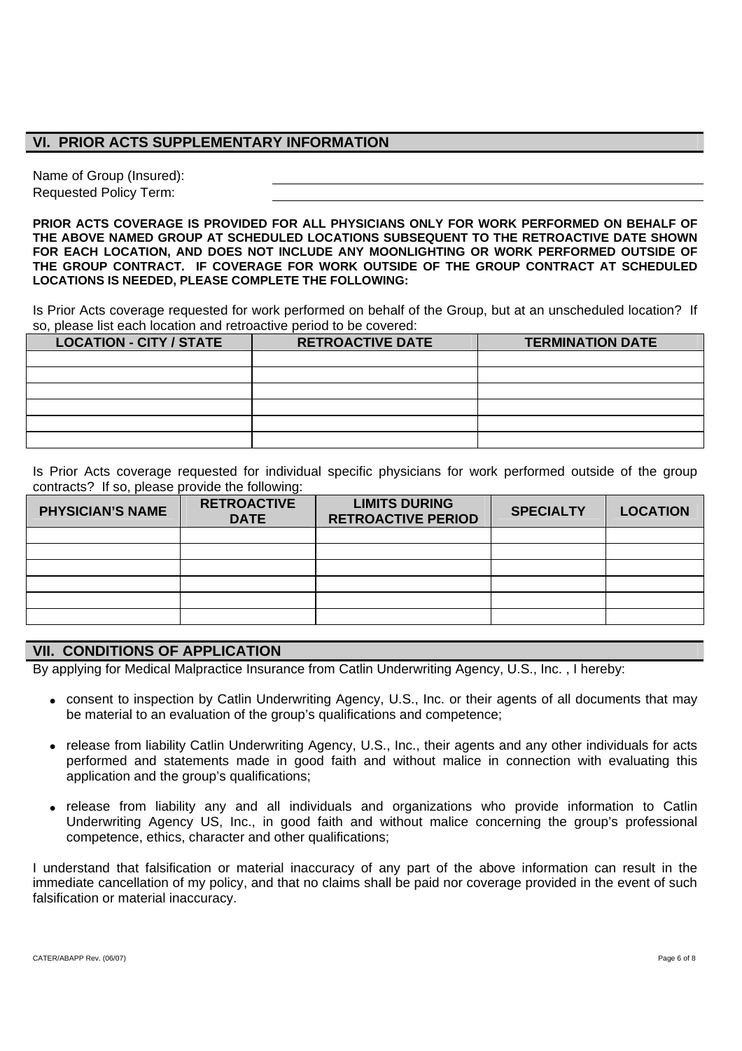## **VI. PRIOR ACTS SUPPLEMENTARY INFORMATION**

Name of Group (Insured): Requested Policy Term:

**PRIOR ACTS COVERAGE IS PROVIDED FOR ALL PHYSICIANS ONLY FOR WORK PERFORMED ON BEHALF OF THE ABOVE NAMED GROUP AT SCHEDULED LOCATIONS SUBSEQUENT TO THE RETROACTIVE DATE SHOWN FOR EACH LOCATION, AND DOES NOT INCLUDE ANY MOONLIGHTING OR WORK PERFORMED OUTSIDE OF THE GROUP CONTRACT. IF COVERAGE FOR WORK OUTSIDE OF THE GROUP CONTRACT AT SCHEDULED LOCATIONS IS NEEDED, PLEASE COMPLETE THE FOLLOWING:** 

Is Prior Acts coverage requested for work performed on behalf of the Group, but at an unscheduled location? If so, please list each location and retroactive period to be covered:

| <b>LOCATION - CITY / STATE</b> | <b>RETROACTIVE DATE</b> | <b>TERMINATION DATE</b> |
|--------------------------------|-------------------------|-------------------------|
|                                |                         |                         |
|                                |                         |                         |
|                                |                         |                         |
|                                |                         |                         |
|                                |                         |                         |
|                                |                         |                         |

Is Prior Acts coverage requested for individual specific physicians for work performed outside of the group contracts? If so, please provide the following:

| <b>PHYSICIAN'S NAME</b> | <b>RETROACTIVE</b><br><b>DATE</b> | <b>LIMITS DURING</b><br><b>RETROACTIVE PERIOD</b> | <b>SPECIALTY</b> | <b>LOCATION</b> |
|-------------------------|-----------------------------------|---------------------------------------------------|------------------|-----------------|
|                         |                                   |                                                   |                  |                 |
|                         |                                   |                                                   |                  |                 |
|                         |                                   |                                                   |                  |                 |
|                         |                                   |                                                   |                  |                 |
|                         |                                   |                                                   |                  |                 |
|                         |                                   |                                                   |                  |                 |

## **VII. CONDITIONS OF APPLICATION**

By applying for Medical Malpractice Insurance from Catlin Underwriting Agency, U.S., Inc. , I hereby:

- consent to inspection by Catlin Underwriting Agency, U.S., Inc. or their agents of all documents that may be material to an evaluation of the group's qualifications and competence;
- release from liability Catlin Underwriting Agency, U.S., Inc., their agents and any other individuals for acts performed and statements made in good faith and without malice in connection with evaluating this application and the group's qualifications;
- release from liability any and all individuals and organizations who provide information to Catlin Underwriting Agency US, Inc., in good faith and without malice concerning the group's professional competence, ethics, character and other qualifications;

I understand that falsification or material inaccuracy of any part of the above information can result in the immediate cancellation of my policy, and that no claims shall be paid nor coverage provided in the event of such falsification or material inaccuracy.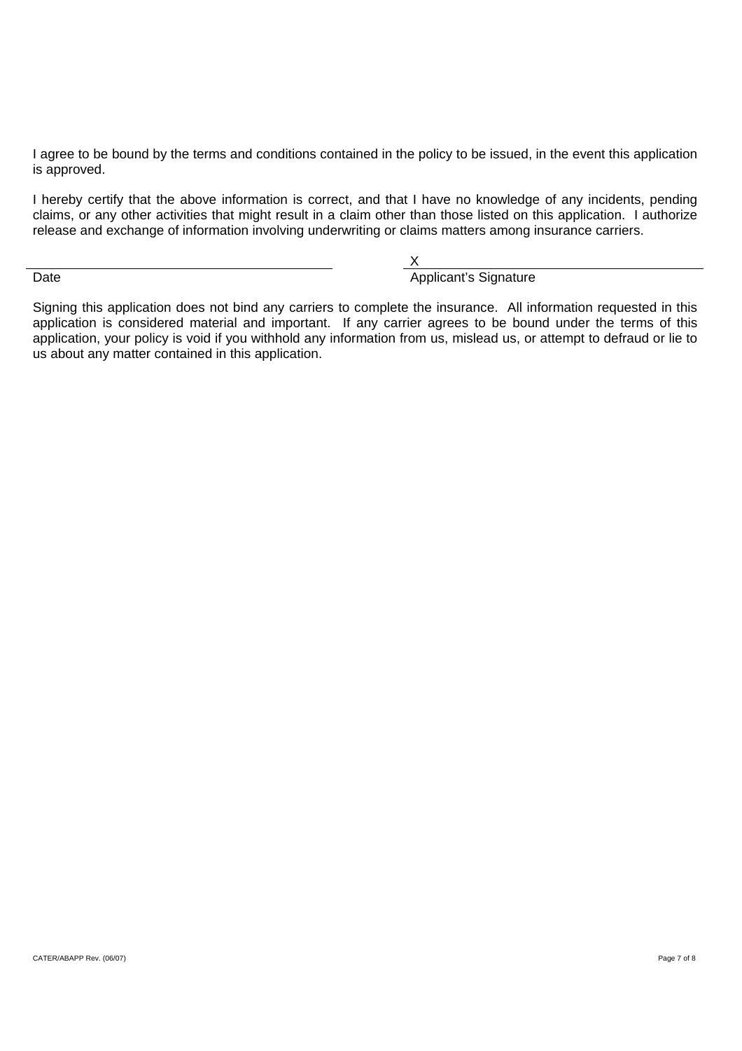I agree to be bound by the terms and conditions contained in the policy to be issued, in the event this application is approved.

I hereby certify that the above information is correct, and that I have no knowledge of any incidents, pending claims, or any other activities that might result in a claim other than those listed on this application. I authorize release and exchange of information involving underwriting or claims matters among insurance carriers.

 X Date **Applicant's Signature** Applicant's Signature

Signing this application does not bind any carriers to complete the insurance. All information requested in this application is considered material and important. If any carrier agrees to be bound under the terms of this application, your policy is void if you withhold any information from us, mislead us, or attempt to defraud or lie to us about any matter contained in this application.